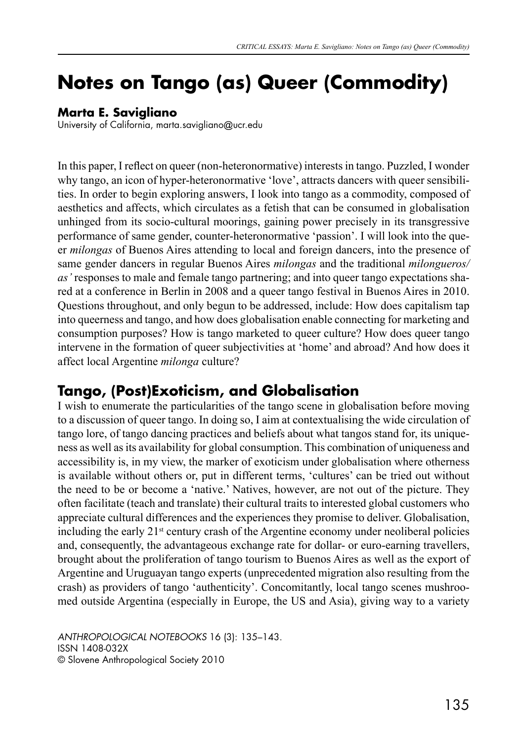# **Notes on Tango (as) Queer (Commodity)**

#### **Marta E. Savigliano**

University of California, marta.savigliano@ucr.edu

In this paper, I reflect on queer (non-heteronormative) interests in tango. Puzzled, I wonder why tango, an icon of hyper-heteronormative 'love', attracts dancers with queer sensibilities. In order to begin exploring answers, I look into tango as a commodity, composed of aesthetics and affects, which circulates as a fetish that can be consumed in globalisation unhinged from its socio-cultural moorings, gaining power precisely in its transgressive performance of same gender, counter-heteronormative 'passion'. I will look into the queer *milongas* of Buenos Aires attending to local and foreign dancers, into the presence of same gender dancers in regular Buenos Aires *milongas* and the traditional *milongueros/ as'* responses to male and female tango partnering; and into queer tango expectations shared at a conference in Berlin in 2008 and a queer tango festival in Buenos Aires in 2010. Questions throughout, and only begun to be addressed, include: How does capitalism tap into queerness and tango, and how does globalisation enable connecting for marketing and consumption purposes? How is tango marketed to queer culture? How does queer tango intervene in the formation of queer subjectivities at 'home' and abroad? And how does it affect local Argentine *milonga* culture?

## **Tango, (Post)Exoticism, and Globalisation**

I wish to enumerate the particularities of the tango scene in globalisation before moving to a discussion of queer tango. In doing so, I aim at contextualising the wide circulation of tango lore, of tango dancing practices and beliefs about what tangos stand for, its uniqueness as well as its availability for global consumption. This combination of uniqueness and accessibility is, in my view, the marker of exoticism under globalisation where otherness is available without others or, put in different terms, 'cultures' can be tried out without the need to be or become a 'native.' Natives, however, are not out of the picture. They often facilitate (teach and translate) their cultural traits to interested global customers who appreciate cultural differences and the experiences they promise to deliver. Globalisation, including the early  $21<sup>st</sup>$  century crash of the Argentine economy under neoliberal policies and, consequently, the advantageous exchange rate for dollar- or euro-earning travellers, brought about the proliferation of tango tourism to Buenos Aires as well as the export of Argentine and Uruguayan tango experts (unprecedented migration also resulting from the crash) as providers of tango 'authenticity'. Concomitantly, local tango scenes mushroomed outside Argentina (especially in Europe, the US and Asia), giving way to a variety

*ANTHROPOLOGICAL NOTEBOOKS* 16 (3): 135–143. ISSN 1408-032X © Slovene Anthropological Society 2010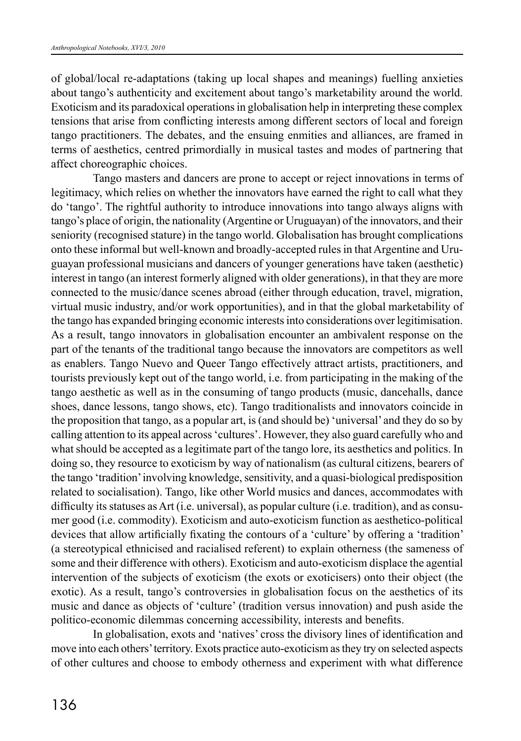of global/local re-adaptations (taking up local shapes and meanings) fuelling anxieties about tango's authenticity and excitement about tango's marketability around the world. Exoticism and its paradoxical operations in globalisation help in interpreting these complex tensions that arise from conflicting interests among different sectors of local and foreign tango practitioners. The debates, and the ensuing enmities and alliances, are framed in terms of aesthetics, centred primordially in musical tastes and modes of partnering that affect choreographic choices.

Tango masters and dancers are prone to accept or reject innovations in terms of legitimacy, which relies on whether the innovators have earned the right to call what they do 'tango'. The rightful authority to introduce innovations into tango always aligns with tango's place of origin, the nationality (Argentine or Uruguayan) of the innovators, and their seniority (recognised stature) in the tango world. Globalisation has brought complications onto these informal but well-known and broadly-accepted rules in that Argentine and Uruguayan professional musicians and dancers of younger generations have taken (aesthetic) interest in tango (an interest formerly aligned with older generations), in that they are more connected to the music/dance scenes abroad (either through education, travel, migration, virtual music industry, and/or work opportunities), and in that the global marketability of the tango has expanded bringing economic interests into considerations over legitimisation. As a result, tango innovators in globalisation encounter an ambivalent response on the part of the tenants of the traditional tango because the innovators are competitors as well as enablers. Tango Nuevo and Queer Tango effectively attract artists, practitioners, and tourists previously kept out of the tango world, i.e. from participating in the making of the tango aesthetic as well as in the consuming of tango products (music, dancehalls, dance shoes, dance lessons, tango shows, etc). Tango traditionalists and innovators coincide in the proposition that tango, as a popular art, is (and should be) 'universal' and they do so by calling attention to its appeal across 'cultures'. However, they also guard carefully who and what should be accepted as a legitimate part of the tango lore, its aesthetics and politics. In doing so, they resource to exoticism by way of nationalism (as cultural citizens, bearers of the tango 'tradition' involving knowledge, sensitivity, and a quasi-biological predisposition related to socialisation). Tango, like other World musics and dances, accommodates with difficulty its statuses as Art (i.e. universal), as popular culture (i.e. tradition), and as consumer good (i.e. commodity). Exoticism and auto-exoticism function as aesthetico-political devices that allow artificially fixating the contours of a 'culture' by offering a 'tradition' (a stereotypical ethnicised and racialised referent) to explain otherness (the sameness of some and their difference with others). Exoticism and auto-exoticism displace the agential intervention of the subjects of exoticism (the exots or exoticisers) onto their object (the exotic). As a result, tango's controversies in globalisation focus on the aesthetics of its music and dance as objects of 'culture' (tradition versus innovation) and push aside the politico-economic dilemmas concerning accessibility, interests and benefits.

In globalisation, exots and 'natives' cross the divisory lines of identification and move into each others' territory. Exots practice auto-exoticism as they try on selected aspects of other cultures and choose to embody otherness and experiment with what difference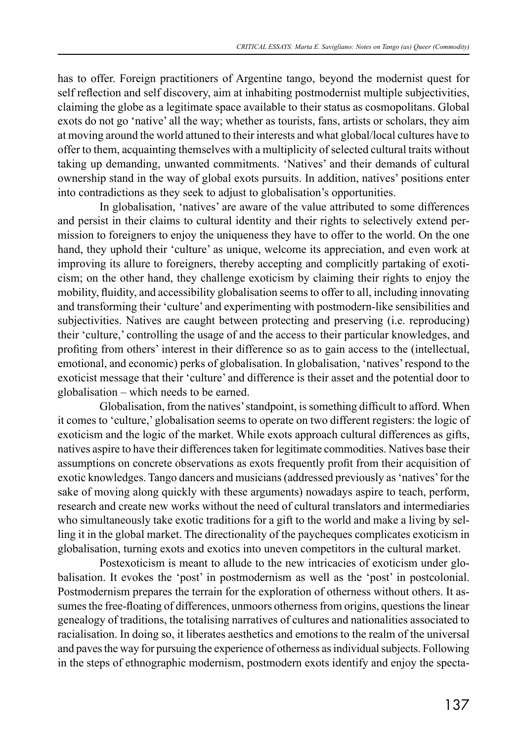has to offer. Foreign practitioners of Argentine tango, beyond the modernist quest for self reflection and self discovery, aim at inhabiting postmodernist multiple subjectivities, claiming the globe as a legitimate space available to their status as cosmopolitans. Global exots do not go 'native' all the way; whether as tourists, fans, artists or scholars, they aim at moving around the world attuned to their interests and what global/local cultures have to offer to them, acquainting themselves with a multiplicity of selected cultural traits without taking up demanding, unwanted commitments. 'Natives' and their demands of cultural ownership stand in the way of global exots pursuits. In addition, natives' positions enter into contradictions as they seek to adjust to globalisation's opportunities.

In globalisation, 'natives' are aware of the value attributed to some differences and persist in their claims to cultural identity and their rights to selectively extend permission to foreigners to enjoy the uniqueness they have to offer to the world. On the one hand, they uphold their 'culture' as unique, welcome its appreciation, and even work at improving its allure to foreigners, thereby accepting and complicitly partaking of exoticism; on the other hand, they challenge exoticism by claiming their rights to enjoy the mobility, fluidity, and accessibility globalisation seems to offer to all, including innovating and transforming their 'culture' and experimenting with postmodern-like sensibilities and subjectivities. Natives are caught between protecting and preserving (i.e. reproducing) their 'culture,' controlling the usage of and the access to their particular knowledges, and profiting from others' interest in their difference so as to gain access to the (intellectual, emotional, and economic) perks of globalisation. In globalisation, 'natives' respond to the exoticist message that their 'culture' and difference is their asset and the potential door to globalisation – which needs to be earned.

Globalisation, from the natives' standpoint, is something difficult to afford. When it comes to 'culture,' globalisation seems to operate on two different registers: the logic of exoticism and the logic of the market. While exots approach cultural differences as gifts, natives aspire to have their differences taken for legitimate commodities. Natives base their assumptions on concrete observations as exots frequently profit from their acquisition of exotic knowledges. Tango dancers and musicians (addressed previously as 'natives' for the sake of moving along quickly with these arguments) nowadays aspire to teach, perform, research and create new works without the need of cultural translators and intermediaries who simultaneously take exotic traditions for a gift to the world and make a living by selling it in the global market. The directionality of the paycheques complicates exoticism in globalisation, turning exots and exotics into uneven competitors in the cultural market.

Postexoticism is meant to allude to the new intricacies of exoticism under globalisation. It evokes the 'post' in postmodernism as well as the 'post' in postcolonial. Postmodernism prepares the terrain for the exploration of otherness without others. It assumes the free-floating of differences, unmoors otherness from origins, questions the linear genealogy of traditions, the totalising narratives of cultures and nationalities associated to racialisation. In doing so, it liberates aesthetics and emotions to the realm of the universal and paves the way for pursuing the experience of otherness as individual subjects. Following in the steps of ethnographic modernism, postmodern exots identify and enjoy the specta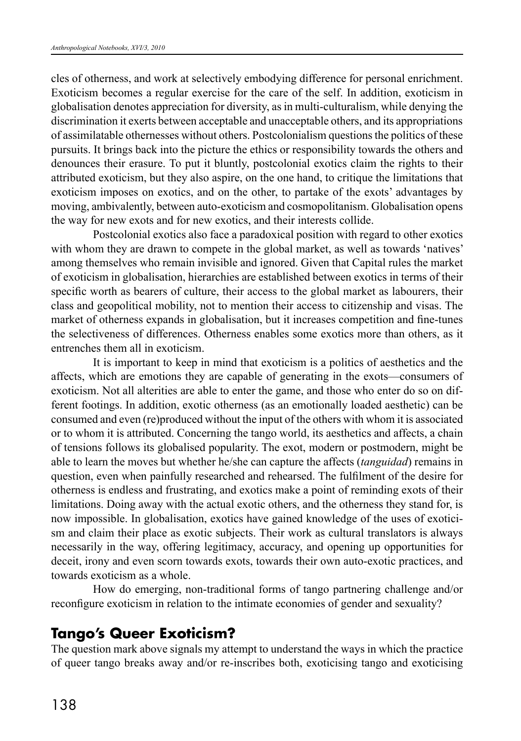cles of otherness, and work at selectively embodying difference for personal enrichment. Exoticism becomes a regular exercise for the care of the self. In addition, exoticism in globalisation denotes appreciation for diversity, as in multi-culturalism, while denying the discrimination it exerts between acceptable and unacceptable others, and its appropriations of assimilatable othernesses without others. Postcolonialism questions the politics of these pursuits. It brings back into the picture the ethics or responsibility towards the others and denounces their erasure. To put it bluntly, postcolonial exotics claim the rights to their attributed exoticism, but they also aspire, on the one hand, to critique the limitations that exoticism imposes on exotics, and on the other, to partake of the exots' advantages by moving, ambivalently, between auto-exoticism and cosmopolitanism. Globalisation opens the way for new exots and for new exotics, and their interests collide.

Postcolonial exotics also face a paradoxical position with regard to other exotics with whom they are drawn to compete in the global market, as well as towards 'natives' among themselves who remain invisible and ignored. Given that Capital rules the market of exoticism in globalisation, hierarchies are established between exotics in terms of their specific worth as bearers of culture, their access to the global market as labourers, their class and geopolitical mobility, not to mention their access to citizenship and visas. The market of otherness expands in globalisation, but it increases competition and fine-tunes the selectiveness of differences. Otherness enables some exotics more than others, as it entrenches them all in exoticism.

It is important to keep in mind that exoticism is a politics of aesthetics and the affects, which are emotions they are capable of generating in the exots—consumers of exoticism. Not all alterities are able to enter the game, and those who enter do so on different footings. In addition, exotic otherness (as an emotionally loaded aesthetic) can be consumed and even (re)produced without the input of the others with whom it is associated or to whom it is attributed. Concerning the tango world, its aesthetics and affects, a chain of tensions follows its globalised popularity. The exot, modern or postmodern, might be able to learn the moves but whether he/she can capture the affects (*tanguidad*) remains in question, even when painfully researched and rehearsed. The fulfilment of the desire for otherness is endless and frustrating, and exotics make a point of reminding exots of their limitations. Doing away with the actual exotic others, and the otherness they stand for, is now impossible. In globalisation, exotics have gained knowledge of the uses of exoticism and claim their place as exotic subjects. Their work as cultural translators is always necessarily in the way, offering legitimacy, accuracy, and opening up opportunities for deceit, irony and even scorn towards exots, towards their own auto-exotic practices, and towards exoticism as a whole.

How do emerging, non-traditional forms of tango partnering challenge and/or reconfigure exoticism in relation to the intimate economies of gender and sexuality?

## **Tango's Queer Exoticism?**

The question mark above signals my attempt to understand the ways in which the practice of queer tango breaks away and/or re-inscribes both, exoticising tango and exoticising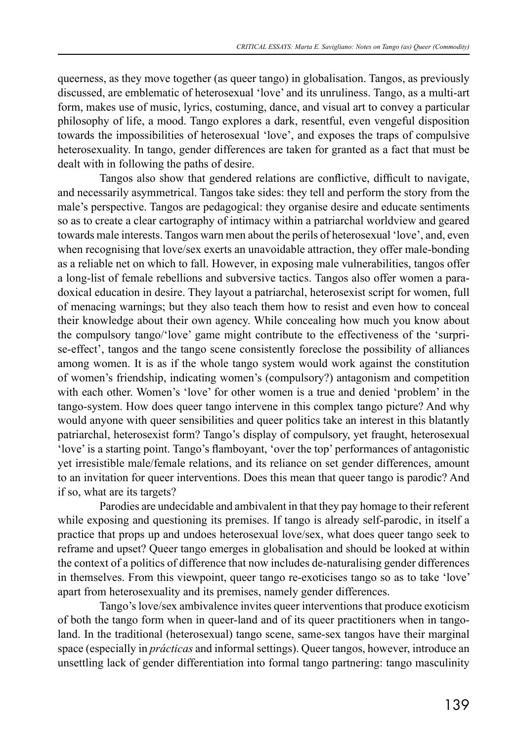queerness, as they move together (as queer tango) in globalisation. Tangos, as previously discussed, are emblematic of heterosexual 'love' and its unruliness. Tango, as a multi-art form, makes use of music, lyrics, costuming, dance, and visual art to convey a particular philosophy of life, a mood. Tango explores a dark, resentful, even vengeful disposition towards the impossibilities of heterosexual 'love', and exposes the traps of compulsive heterosexuality. In tango, gender differences are taken for granted as a fact that must be dealt with in following the paths of desire.

Tangos also show that gendered relations are conflictive, difficult to navigate, and necessarily asymmetrical. Tangos take sides: they tell and perform the story from the male's perspective. Tangos are pedagogical: they organise desire and educate sentiments so as to create a clear cartography of intimacy within a patriarchal worldview and geared towards male interests. Tangos warn men about the perils of heterosexual 'love', and, even when recognising that love/sex exerts an unavoidable attraction, they offer male-bonding as a reliable net on which to fall. However, in exposing male vulnerabilities, tangos offer a long-list of female rebellions and subversive tactics. Tangos also offer women a paradoxical education in desire. They layout a patriarchal, heterosexist script for women, full of menacing warnings; but they also teach them how to resist and even how to conceal their knowledge about their own agency. While concealing how much you know about the compulsory tango/'love' game might contribute to the effectiveness of the 'surprise-effect', tangos and the tango scene consistently foreclose the possibility of alliances among women. It is as if the whole tango system would work against the constitution of women's friendship, indicating women's (compulsory?) antagonism and competition with each other. Women's 'love' for other women is a true and denied 'problem' in the tango-system. How does queer tango intervene in this complex tango picture? And why would anyone with queer sensibilities and queer politics take an interest in this blatantly patriarchal, heterosexist form? Tango's display of compulsory, yet fraught, heterosexual 'love' is a starting point. Tango's flamboyant, 'over the top' performances of antagonistic yet irresistible male/female relations, and its reliance on set gender differences, amount to an invitation for queer interventions. Does this mean that queer tango is parodic? And if so, what are its targets?

Parodies are undecidable and ambivalent in that they pay homage to their referent while exposing and questioning its premises. If tango is already self-parodic, in itself a practice that props up and undoes heterosexual love/sex, what does queer tango seek to reframe and upset? Queer tango emerges in globalisation and should be looked at within the context of a politics of difference that now includes de-naturalising gender differences in themselves. From this viewpoint, queer tango re-exoticises tango so as to take 'love' apart from heterosexuality and its premises, namely gender differences.

Tango's love/sex ambivalence invites queer interventions that produce exoticism of both the tango form when in queer-land and of its queer practitioners when in tangoland. In the traditional (heterosexual) tango scene, same-sex tangos have their marginal space (especially in *prácticas* and informal settings). Queer tangos, however, introduce an unsettling lack of gender differentiation into formal tango partnering: tango masculinity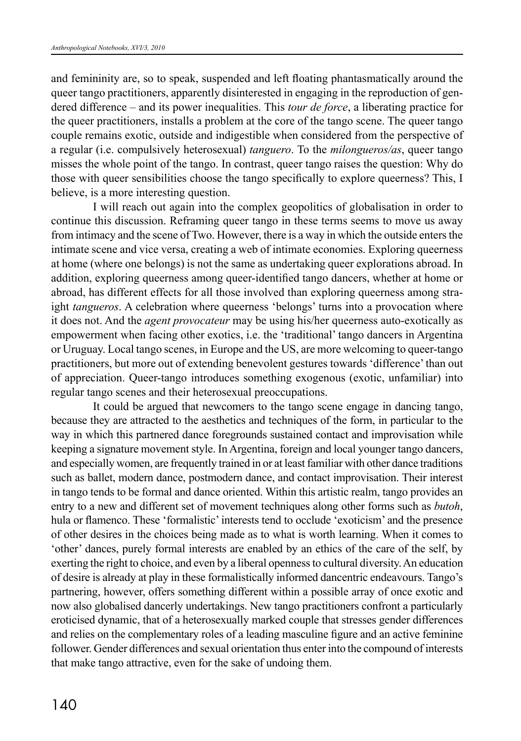and femininity are, so to speak, suspended and left floating phantasmatically around the queer tango practitioners, apparently disinterested in engaging in the reproduction of gendered difference – and its power inequalities. This *tour de force*, a liberating practice for the queer practitioners, installs a problem at the core of the tango scene. The queer tango couple remains exotic, outside and indigestible when considered from the perspective of a regular (i.e. compulsively heterosexual) *tanguero*. To the *milongueros/as*, queer tango misses the whole point of the tango. In contrast, queer tango raises the question: Why do those with queer sensibilities choose the tango specifically to explore queerness? This, I believe, is a more interesting question.

I will reach out again into the complex geopolitics of globalisation in order to continue this discussion. Reframing queer tango in these terms seems to move us away from intimacy and the scene of Two. However, there is a way in which the outside enters the intimate scene and vice versa, creating a web of intimate economies. Exploring queerness at home (where one belongs) is not the same as undertaking queer explorations abroad. In addition, exploring queerness among queer-identified tango dancers, whether at home or abroad, has different effects for all those involved than exploring queerness among straight *tangueros*. A celebration where queerness 'belongs' turns into a provocation where it does not. And the *agent provocateur* may be using his/her queerness auto-exotically as empowerment when facing other exotics, i.e. the 'traditional' tango dancers in Argentina or Uruguay. Local tango scenes, in Europe and the US, are more welcoming to queer-tango practitioners, but more out of extending benevolent gestures towards 'difference' than out of appreciation. Queer-tango introduces something exogenous (exotic, unfamiliar) into regular tango scenes and their heterosexual preoccupations.

It could be argued that newcomers to the tango scene engage in dancing tango, because they are attracted to the aesthetics and techniques of the form, in particular to the way in which this partnered dance foregrounds sustained contact and improvisation while keeping a signature movement style. In Argentina, foreign and local younger tango dancers, and especially women, are frequently trained in or at least familiar with other dance traditions such as ballet, modern dance, postmodern dance, and contact improvisation. Their interest in tango tends to be formal and dance oriented. Within this artistic realm, tango provides an entry to a new and different set of movement techniques along other forms such as *butoh*, hula or flamenco. These 'formalistic' interests tend to occlude 'exoticism' and the presence of other desires in the choices being made as to what is worth learning. When it comes to 'other' dances, purely formal interests are enabled by an ethics of the care of the self, by exerting the right to choice, and even by a liberal openness to cultural diversity. An education of desire is already at play in these formalistically informed dancentric endeavours. Tango's partnering, however, offers something different within a possible array of once exotic and now also globalised dancerly undertakings. New tango practitioners confront a particularly eroticised dynamic, that of a heterosexually marked couple that stresses gender differences and relies on the complementary roles of a leading masculine figure and an active feminine follower. Gender differences and sexual orientation thus enter into the compound of interests that make tango attractive, even for the sake of undoing them.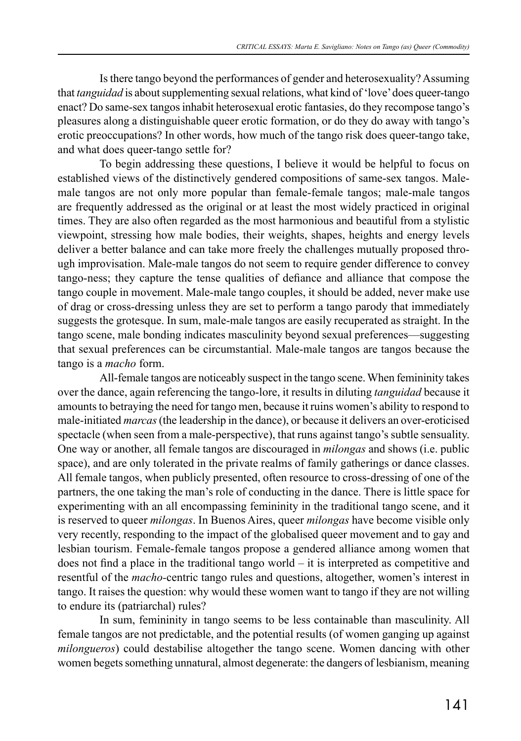Is there tango beyond the performances of gender and heterosexuality? Assuming that *tanguidad* is about supplementing sexual relations, what kind of 'love' does queer-tango enact? Do same-sex tangos inhabit heterosexual erotic fantasies, do they recompose tango's pleasures along a distinguishable queer erotic formation, or do they do away with tango's erotic preoccupations? In other words, how much of the tango risk does queer-tango take, and what does queer-tango settle for?

To begin addressing these questions, I believe it would be helpful to focus on established views of the distinctively gendered compositions of same-sex tangos. Malemale tangos are not only more popular than female-female tangos; male-male tangos are frequently addressed as the original or at least the most widely practiced in original times. They are also often regarded as the most harmonious and beautiful from a stylistic viewpoint, stressing how male bodies, their weights, shapes, heights and energy levels deliver a better balance and can take more freely the challenges mutually proposed through improvisation. Male-male tangos do not seem to require gender difference to convey tango-ness; they capture the tense qualities of defiance and alliance that compose the tango couple in movement. Male-male tango couples, it should be added, never make use of drag or cross-dressing unless they are set to perform a tango parody that immediately suggests the grotesque. In sum, male-male tangos are easily recuperated as straight. In the tango scene, male bonding indicates masculinity beyond sexual preferences—suggesting that sexual preferences can be circumstantial. Male-male tangos are tangos because the tango is a *macho* form.

All-female tangos are noticeably suspect in the tango scene. When femininity takes over the dance, again referencing the tango-lore, it results in diluting *tanguidad* because it amounts to betraying the need for tango men, because it ruins women's ability to respond to male-initiated *marcas* (the leadership in the dance), or because it delivers an over-eroticised spectacle (when seen from a male-perspective), that runs against tango's subtle sensuality. One way or another, all female tangos are discouraged in *milongas* and shows (i.e. public space), and are only tolerated in the private realms of family gatherings or dance classes. All female tangos, when publicly presented, often resource to cross-dressing of one of the partners, the one taking the man's role of conducting in the dance. There is little space for experimenting with an all encompassing femininity in the traditional tango scene, and it is reserved to queer *milongas*. In Buenos Aires, queer *milongas* have become visible only very recently, responding to the impact of the globalised queer movement and to gay and lesbian tourism. Female-female tangos propose a gendered alliance among women that does not find a place in the traditional tango world – it is interpreted as competitive and resentful of the *macho-*centric tango rules and questions, altogether, women's interest in tango. It raises the question: why would these women want to tango if they are not willing to endure its (patriarchal) rules?

In sum, femininity in tango seems to be less containable than masculinity. All female tangos are not predictable, and the potential results (of women ganging up against *milongueros*) could destabilise altogether the tango scene. Women dancing with other women begets something unnatural, almost degenerate: the dangers of lesbianism, meaning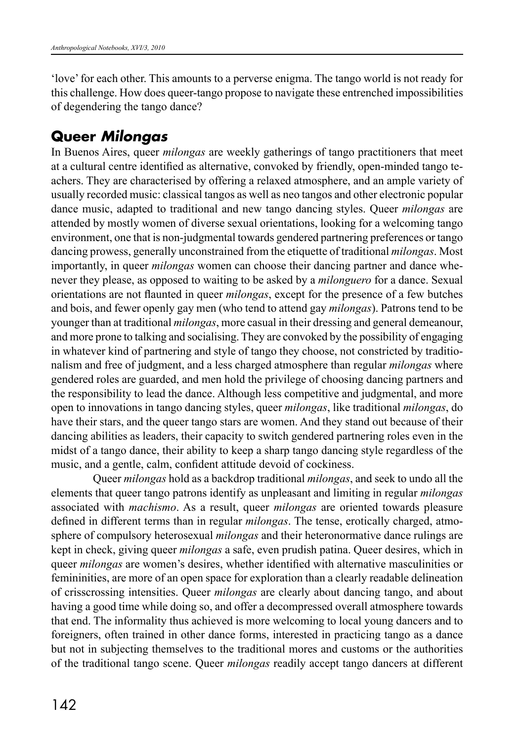'love' for each other. This amounts to a perverse enigma. The tango world is not ready for this challenge. How does queer-tango propose to navigate these entrenched impossibilities of degendering the tango dance?

## **Queer** *Milongas*

In Buenos Aires, queer *milongas* are weekly gatherings of tango practitioners that meet at a cultural centre identified as alternative, convoked by friendly, open-minded tango teachers. They are characterised by offering a relaxed atmosphere, and an ample variety of usually recorded music: classical tangos as well as neo tangos and other electronic popular dance music, adapted to traditional and new tango dancing styles. Queer *milongas* are attended by mostly women of diverse sexual orientations, looking for a welcoming tango environment, one that is non-judgmental towards gendered partnering preferences or tango dancing prowess, generally unconstrained from the etiquette of traditional *milongas*. Most importantly, in queer *milongas* women can choose their dancing partner and dance whenever they please, as opposed to waiting to be asked by a *milonguero* for a dance. Sexual orientations are not flaunted in queer *milongas*, except for the presence of a few butches and bois, and fewer openly gay men (who tend to attend gay *milongas*). Patrons tend to be younger than at traditional *milongas*, more casual in their dressing and general demeanour, and more prone to talking and socialising. They are convoked by the possibility of engaging in whatever kind of partnering and style of tango they choose, not constricted by traditionalism and free of judgment, and a less charged atmosphere than regular *milongas* where gendered roles are guarded, and men hold the privilege of choosing dancing partners and the responsibility to lead the dance. Although less competitive and judgmental, and more open to innovations in tango dancing styles, queer *milongas*, like traditional *milongas*, do have their stars, and the queer tango stars are women. And they stand out because of their dancing abilities as leaders, their capacity to switch gendered partnering roles even in the midst of a tango dance, their ability to keep a sharp tango dancing style regardless of the music, and a gentle, calm, confident attitude devoid of cockiness.

Queer *milongas* hold as a backdrop traditional *milongas*, and seek to undo all the elements that queer tango patrons identify as unpleasant and limiting in regular *milongas* associated with *machismo*. As a result, queer *milongas* are oriented towards pleasure defined in different terms than in regular *milongas*. The tense, erotically charged, atmosphere of compulsory heterosexual *milongas* and their heteronormative dance rulings are kept in check, giving queer *milongas* a safe, even prudish patina. Queer desires, which in queer *milongas* are women's desires, whether identified with alternative masculinities or femininities, are more of an open space for exploration than a clearly readable delineation of crisscrossing intensities. Queer *milongas* are clearly about dancing tango, and about having a good time while doing so, and offer a decompressed overall atmosphere towards that end. The informality thus achieved is more welcoming to local young dancers and to foreigners, often trained in other dance forms, interested in practicing tango as a dance but not in subjecting themselves to the traditional mores and customs or the authorities of the traditional tango scene. Queer *milongas* readily accept tango dancers at different